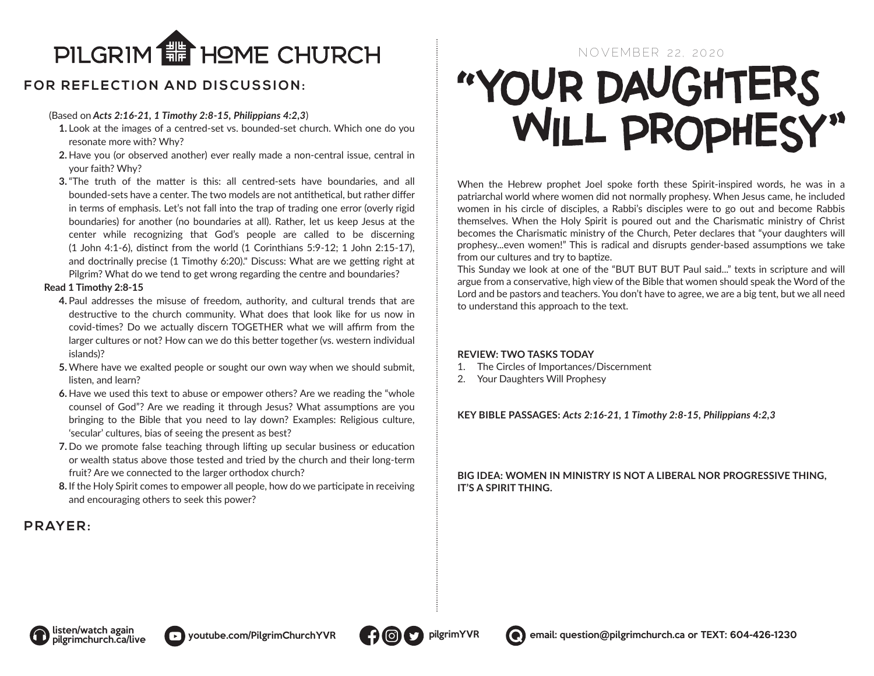

# **FOR REFLECTION AND DISCUSSION:**

### (Based on *Acts 2:16-21, 1 Timothy 2:8-15, Philippians 4:2,3*)

- **1.** Look at the images of a centred-set vs. bounded-set church. Which one do you resonate more with? Why?
- **2.** Have you (or observed another) ever really made a non-central issue, central in your faith? Why?
- **3.**"The truth of the matter is this: all centred-sets have boundaries, and all bounded-sets have a center. The two models are not antithetical, but rather differ in terms of emphasis. Let's not fall into the trap of trading one error (overly rigid boundaries) for another (no boundaries at all). Rather, let us keep Jesus at the center while recognizing that God's people are called to be discerning (1 John 4:1-6), distinct from the world (1 Corinthians 5:9-12; 1 John 2:15-17), and doctrinally precise (1 Timothy 6:20)." Discuss: What are we getting right at Pilgrim? What do we tend to get wrong regarding the centre and boundaries?

#### **Read 1 Timothy 2:8-15**

- **4.** Paul addresses the misuse of freedom, authority, and cultural trends that are destructive to the church community. What does that look like for us now in covid-times? Do we actually discern TOGETHER what we will affirm from the larger cultures or not? How can we do this better together (vs. western individual islands)?
- **5.** Where have we exalted people or sought our own way when we should submit, listen, and learn?
- **6.** Have we used this text to abuse or empower others? Are we reading the "whole counsel of God"? Are we reading it through Jesus? What assumptions are you bringing to the Bible that you need to lay down? Examples: Religious culture, 'secular' cultures, bias of seeing the present as best?
- **7.** Do we promote false teaching through lifting up secular business or education or wealth status above those tested and tried by the church and their long-term fruit? Are we connected to the larger orthodox church?
- **8.** If the Holy Spirit comes to empower all people, how do we participate in receiving and encouraging others to seek this power?

# PRAYER:

# "YOUR DAUGHTERS

When the Hebrew prophet Joel spoke forth these Spirit-inspired words, he was in a patriarchal world where women did not normally prophesy. When Jesus came, he included women in his circle of disciples, a Rabbi's disciples were to go out and become Rabbis themselves. When the Holy Spirit is poured out and the Charismatic ministry of Christ becomes the Charismatic ministry of the Church, Peter declares that "your daughters will prophesy...even women!" This is radical and disrupts gender-based assumptions we take from our cultures and try to baptize.

This Sunday we look at one of the "BUT BUT BUT Paul said..." texts in scripture and will argue from a conservative, high view of the Bible that women should speak the Word of the Lord and be pastors and teachers. You don't have to agree, we are a big tent, but we all need to understand this approach to the text.

#### **REVIEW: TWO TASKS TODAY**

- 1. The Circles of Importances/Discernment
- 2. Your Daughters Will Prophesy

**KEY BIBLE PASSAGES:** *Acts 2:16-21, 1 Timothy 2:8-15, Philippians 4:2,3*

**BIG IDEA: WOMEN IN MINISTRY IS NOT A LIBERAL NOR PROGRESSIVE THING, IT'S A SPIRIT THING.**